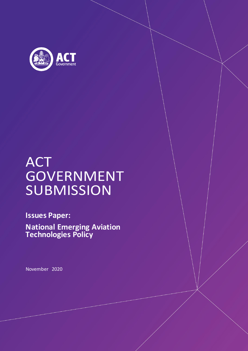

# ACT **GOVERNMENT SUBMISSION**

**Issues Paper:**

**National Emerging Aviation Technologies Policy**

November 2020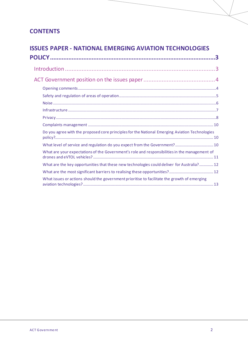# **CONTENTS**

### **ISSUES PAPER - NATIONAL EMERGING AVIATION TECHNOLOGIES**

| Do you agree with the proposed core principles for the National Emerging Aviation Technologies |  |
|------------------------------------------------------------------------------------------------|--|
| What level of service and regulation do you expect from the Government? 10                     |  |
| What are your expectations of the Government's role and responsibilities in the management of  |  |
| What are the key opportunities that these new technologies could deliver for Australia? 12     |  |
|                                                                                                |  |
| What issues or actions should the government prioritise to facilitate the growth of emerging   |  |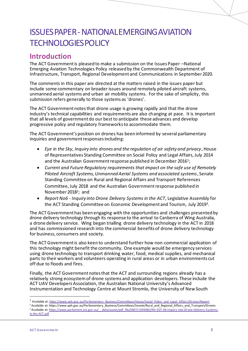# ISSUES PAPER-NATIONAL EMERGING AVIATION TECHNOLOGIES POLICY

# **Introduction**

The ACT Government is pleased to make a submission on the Issues Paper –National Emerging Aviation Technologies Policy released by the Commonwealth Department of Infrastructure, Transport, Regional Development and Communications in September 2020.

The comments in this paper are directed at the matters raised in the issues paper but include some commentary on broader issues around remotely piloted aircraft systems, unmanned aerial systems and urban air mobility systems. For the sake of simplicity, this submission refers generally to those systems as 'drones'.

The ACT Government notes that drone usage is growing rapidly and that the drone industry's technical capabilities and requirements are also changing at pace. It is important that all levels of government do our best to anticipate these advances and develop progressive policy and regulatory frameworksto accommodate them.

The ACT Government's position on drones has been informed by several parliamentary inquiries and government responses including:

- *Eye in the Sky, Inquiry into drones and the regulation of air safety and privacy*, House of Representatives Standing Committee on Social Policy and Legal Affairs, July 2014 and the Australian Government response published in December 2016 $^{\rm 1)}$ ;
- *Current and Future Regulatory requirements that impact on the safe use of Remotely Piloted Aircraft Systems, Unmanned Aerial Systems and associated systems*, Senate Standing Committee on Rural and Regional Affairs and Transport References Committee, July 2018 and the Australian Government response published in November 2018<sup>2</sup>; and
- *Report No6 - Inquiry into Drone Delivery Systems in the ACT*, Legislative Assembly for the ACT Standing Committee on Economic Development and Tourism, July 2019<sup>3</sup> .

The ACT Government has been engaging with the opportunities and challenges presented by drone delivery technology through its response to the arrival to Canberra of Wing Australia, a drone delivery service. Wing began trialling drone delivery technology in the ACT in 2018 and has commissioned research into the commercial benefits of drone delivery technology for business, consumers and society.

The ACT Government is also keen to understand further how non-commercial application of this technology might benefit the community. One example would be emergency services using drone technology to transport drinking water, food, medical supplies, and mechanical parts to their workers and volunteers operating in rural areas or in urban environments cut off due to floods and fires.

Finally, the ACT Government notes that the ACT and surrounding regions already has a relatively strong ecosystem of drone systems and application developers. These include the ACT UAV Developers Association, the Australian National University's Advanced Instrumentation and Technology Centre at Mount Stromlo, the University of New South

<sup>&</sup>lt;sup>1</sup> Available at[: https://www.aph.gov.au/Parliamentary\\_Business/Committees/House/Social\\_Policy\\_and\\_Legal\\_Affairs/Drones/Report](https://www.aph.gov.au/Parliamentary_Business/Committees/House/Social_Policy_and_Legal_Affairs/Drones/Report)

<sup>&</sup>lt;sup>2</sup> Available at: https://www.aph.gov.au/Parliamentary\_Business/Committees/Senate/Rural\_and\_Regional\_Affairs\_and\_Transport/Drones <sup>3</sup> Available at: https://www.parliament.act.gov.au/ data/assets/pdf file/0007/1394485/9th-EDT-06-Inquiry-into-Drone-Delivery-Systems[in-the-ACT.pdf](https://www.parliament.act.gov.au/__data/assets/pdf_file/0007/1394485/9th-EDT-06-Inquiry-into-Drone-Delivery-Systems-in-the-ACT.pdf)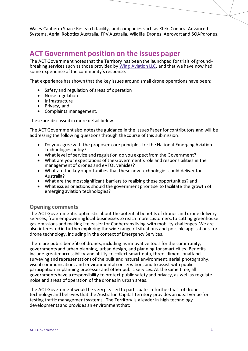Wales Canberra Space Research facility, and companies such as Xtek, Codarra Advanced Systems, Aerial Robotics Australia, FPV Australia, Wildlife Drones, Aerovort and SOAPdrones.

# **ACT Government position on the issues paper**

The ACT Government notes that the Territory has been the launchpad for trials of groundbreaking services such as those provided by [Wing Aviation LLC,](https://wing.com/australia/canberra) and that we have now had some experience of the community's response.

That experience has shown that the key issues around small drone operations have been:

- Safety and regulation of areas of operation
- Noise regulation
- Infrastructure
- Privacy, and
- Complaints management.

These are discussed in more detail below.

The ACT Government also notes the guidance in the Issues Paper for contributors and will be addressing the following questions through the course of this submission:

- Do you agree with the proposed core principles for the National Emerging Aviation Technologies policy?
- What level of service and regulation do you expect from the Government?
- What are your expectations of the Government's role and responsibilities in the management of drones and eVTOL vehicles?
- What are the key opportunities that these new technologies could deliver for Australia?
- What are the most significant barriers to realising these opportunities? and
- What issues or actions should the government prioritise to facilitate the growth of emerging aviation technologies?

#### **Opening comments**

The ACT Government is optimistic about the potential benefits of drones and drone delivery services; from empowering local businesses to reach more customers, to cutting greenhouse gas emissions and making life easier for Canberrans living with mobility challenges. We are also interested in further exploring the wide range of situations and possible applications for drone technology, including in the context of Emergency Services.

There are public benefits of drones, including as innovative tools for the community, governments and urban planning, urban design, and planning for smart cities. Benefits include greater accessibility and ability to collect smart data, three-dimensional land surveying and representations of the built and natural environment, aerial photography, visual communication, and environmental conservation, and to assist with public participation in planning processes and other public services. At the same time, all governments have a responsibility to protect public safety and privacy, as well as regulate noise and areas of operation of the drones in urban areas.

The ACT Government would be very pleased to participate in further trials of drone technology and believes that the Australian Capital Territory provides an ideal venue for testing traffic management systems. The Territory is a leader in high technology developments and provides an environment that: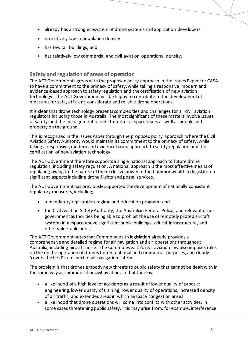- already has a strong ecosystem of drone systems and application developers
- is relatively low in population density
- has few tall buildings, and
- has relatively low commercial and civil aviation operational density.

#### **Safety and regulation of areas of operation**

The ACT Government agrees with the proposed policy approach in the Issues Paper for CASA to have a commitment to the primacy of safety, while taking a responsive, modern and evidence-based approach to safety regulation and the certification of new aviation technology. The ACT Government will be happy to contribute to the development of measures for safe, efficient, considerate and reliable drone operations.

It is clear that drone technology presents complexities and challenges for all civil aviation regulators including those in Australia. The most significant of these matters involve issues of safety, and the management of risks for other airspace users as well as people and property on the ground.

This is recognised in the Issues Paper through the proposed policy approach where the Civil Aviation Safety Authority would maintain its commitment to the primacy of safety, while taking a responsive, modern and evidence based approach to safety regulation and the certification of new aviation technology.

The ACT Government therefore supports a single national approach to future drone regulation, including safety regulation. A national approach is the most effective means of regulating owing to the nature of the exclusive power of the Commonwealth to legislate on significant aspects including drone flights and postal services.

The ACT Government has previously supported the development of nationally consistent regulatory measures, including;

- a mandatory registration regime and education program; and
- the Civil Aviation Safety Authority, the Australian Federal Police, and relevant other government authorities being able to prohibit the use of remotely piloted aircraft systems in airspace above significant public buildings, critical infrastructure, and other vulnerable areas.

The ACT Government notes that Commonwealth legislation already provides a comprehensive and detailed regime for air navigation and air operations throughout Australia, including aircraft noise. The Commonwealth's civil aviation law also imposes rules on the on the operation of drones for recreational and commercial purposes, and clearly 'covers the field' in respect of air navigation safety.

The problem is that drones embody new threats to public safety that cannot be dealt with in the same way as commercial or civil aviation, in that there is:

- a likelihood of a high level of accidents as a result of lower quality of product engineering, lower quality of training, lower quality of operations, increased density of air traffic, and extended areas in which airspace congestion arises
- a likelihood that drone operations will come into conflict with other activities, in some cases threatening public safety. This may arise from, for example, interference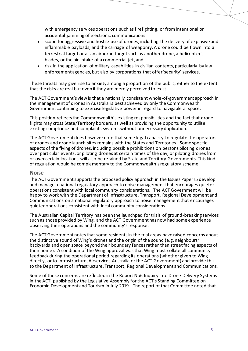with emergency services operations such as firefighting, or from intentional or accidental jamming of electronic communications

- scope for aggressive and hostile use of drones, including the delivery of explosive and inflammable payloads, and the carriage of weaponry. A drone could be flown into a terrestrial target or at an airborne target such as another drone, a helicopter's blades, or the air-intake of a commercial jet, and
- risk in the application of military capabilities in civilian contexts, particularly by law enforcement agencies, but also by corporations that offer 'security' services.

These threats may give rise to anxiety among a proportion of the public, either to the extent that the risks are real but even if they are merely perceived to exist.

The ACT Government's view is that a nationally consistent whole-of-government approach in the management of drones in Australia is best achieved by only the Commonwealth Government continuing to exercise legislative power in regard to navigable airspace.

This position reflects the Commonwealth's existing responsibilities and the fact that drone flights may cross State/Territory borders, as well as providing the opportunity to utilise existing compliance and complaints systems without unnecessary duplication.

The ACT Government does however note that some legal capacity to regulate the operators of drones and drone launch sites remains with the States and Territories. Some specific aspects of the flying of drones, including possible prohibitions on persons piloting drones over particular events, or piloting drones at certain times of the day, or piloting drones from or over certain locations will also be retained by State and Territory Governments. This kind of regulation would be complementary to the Commonwealth's regulatory scheme.

#### **Noise**

The ACT Government supports the proposed policy approach in the Issues Paper to develop and manage a national regulatory approach to noise management that encourages quieter operations consistent with local community considerations. The ACT Government will be happy to work with the Department of Infrastructure, Transport, Regional Development and Communications on a national regulatory approach to noise management that encourages quieter operations consistent with local community considerations.

The Australian Capital Territory has been the launchpad for trials of ground-breaking services such as those provided by Wing, and the ACT Government has now had some experience observing their operations and the community's response.

The ACT Government notes that some residents in the trial areas have raised concerns about the distinctive sound of Wing's drones and the origin of the sound (e.g. neighbours' backyards and open space beyond their boundary fences rather than street facing aspects of their home). A condition of the Wing approval was that Wing must collate all community feedback during the operational period regarding its operations (whether given to Wing directly, or to Infrastructure, Airservices Australia or the ACT Government) and provide this to the Department of Infrastructure, Transport, Regional Development and Communications.

Some of these concerns are reflected in the Report No6 Inquiry into Drone Delivery Systems in the ACT, published by the Legislative Assembly for the ACT's Standing Committee on Economic Development and Tourism in July 2019. The report of that Committee noted that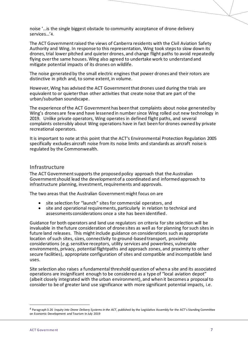noise '…is the single biggest obstacle to community acceptance of drone delivery services…'4.

The ACT Government raised the views of Canberra residents with the Civil Aviation Safety Authority and Wing. In response to this representation, Wing took steps to slow down its drones, trial lower pitched and quieter drones, and change flight paths to avoid repeatedly flying over the same houses. Wing also agreed to undertake work to understand and mitigate potential impacts of its drones on wildlife.

The noise generated by the small electric engines that power drones and their rotors are distinctive in pitch and, to some extent, in volume.

However, Wing has advised the ACT Government that drones used during the trials are equivalent to or quieter than other activities that create noise that are part of the urban/suburban soundscape.

The experience of the ACT Government has been that complaints about noise generated by Wing's drones are few and have lessened in number since Wing rolled out new technology in 2019. Unlike private operators, Wing operates in defined flight paths, and several complaints ostensibly about Wing operations have in fact been for drones owned by private recreational operators.

It is important to note at this point that the ACT's Environmental Protection Regulation 2005 specifically excludes aircraft noise from its noise limits and standards as aircraft noise is regulated by the Commonwealth.

#### **Infrastructure**

The ACT Government supports the proposed policy approach that the Australian Government should lead the development of a coordinated and informed approach to infrastructure planning, investment, requirements and approvals.

The two areas that the Australian Government might focus on are

- site selection for "launch" sites for commercial operators, and<br>• site and operational requirements particularly in relation to te
- site and operational requirements, particularly in relation to technical and assessments considerations once a site has been identified.

Guidance for both operators and land use regulators on criteria for site selection will be invaluable in the future consideration of drone sites as well as for planning for such sites in future land releases. This might include guidance on considerations such as appropriate location of such sites, sizes, connectivity to ground-based transport, proximity considerations (e.g. sensitive receptors, utility services and powerlines, vulnerable environments, privacy, potential flightpaths and approach zones, and proximity to other secure facilities), appropriate configuration of sites and compatible and incompatible land uses.

Site selection also raises a fundamental threshold question of when a site and its associated operations are insignificant enough to be considered as a type of "local aviation depot" (albeit closely integrated with the urban environment), and when it becomes a proposal to consider to be of greater land use significance with more significant potential impacts, i.e.

<sup>4</sup> Paragraph 3.26 *Inquiry into Drone Delivery Systems in the ACT*, published by the Legislative Assembly for the ACT's Standing Committee on Economic Development and Tourism in July 2019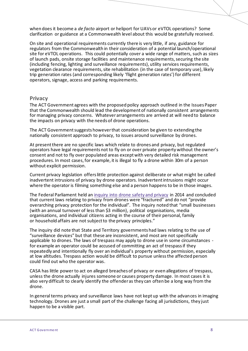when does it become a *de facto* airport or heliport for UAVs or eVTOL operations? Some clarification or guidance at a Commonwealth level about this would be gratefully received.

On site and operational requirements currently there is very little, if any, guidance for regulators from the Commonwealth in their consideration of a potential launch/operational site for eVTOL operations. This could potentially cover a wide range of matters, such as sizes of launch pads, onsite storage facilities and maintenance requirements, securing the site (including fencing, lighting and surveillance requirements), utility services requirements, vegetation clearance requirements, site rehabilitation (in the case of temporary use), likely trip generation rates (and corresponding likely 'flight generation rates') for different operators, signage, access and parking requirements.

#### **Privacy**

The ACT Government agrees with the proposed policy approach outlined in the Issues Paper that the Commonwealth should lead the development of nationally consistent arrangements for managing privacy concerns. Whatever arrangements are arrived at will need to balance the impacts on privacy with the needs of drone operations.

The ACT Government suggests however that consideration be given to extending the nationally consistent approach to privacy, to issues around surveillance by drones.

At present there are no specific laws which relate to drones and privacy, but regulated operators have legal requirements not to fly on or over private property without the owner's consent and not to fly over populated areas except with very detailed risk management procedures. In most cases, for example, it is illegal to fly a drone within 30m of a person without explicit permission.

Current privacy legislation offers little protection against deliberate or what might be called inadvertent intrusions of privacy by drone operators. Inadvertent intrusions might occur where the operator is filming something else and a person happens to be in those images.

The Federal Parliament held a[n inquiry into drone safety and privacy](http://www.aph.gov.au/Parliamentary_Business/Committees/House/Social_Policy_and_Legal_Affairs/Drones/Report) in 2014 and concluded that current laws relating to privacy from drones were "fractured" and do not "provide overarching privacy protection for the individual". The inquiry noted that "small businesses (with an annual turnover of less than \$3 million), political organisations, media organisations, and individual citizens acting in the course of their personal, family or household affairs are not subject to the privacy principles."

The inquiry did note that State and Territory governments had laws relating to the use of "surveillance devices" but that these are inconsistent, and most are not specifically applicable to drones. The laws of trespass may apply to drone use in some circumstances for example an operator could be accused of committing an act of trespass if they repeatedly and intentionally fly over an individual's property without permission, especially at low altitudes. Trespass action would be difficult to pursue unless the affected person could find out who the operator was.

CASA has little power to act on alleged breaches of privacy or even allegations of trespass, unless the drone actually injures someone or causes property damage. In most cases it is also very difficult to clearly identify the offender as they can often be a long way from the drone.

In general terms privacy and surveillance laws have not kept up with the advances in imaging technology. Drones are just a small part of the challenge facing all jurisdictions, they just happen to be a visible part.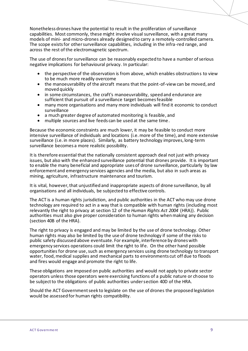Nonetheless drones have the potential to result in the proliferation of surveillance capabilities. Most commonly, these might involve visual surveillance, with a great many models of mini- and micro-drones already designed to carry a remotely-controlled camera. The scope exists for other surveillance capabilities, including in the infra-red range, and across the rest of the electromagnetic spectrum.

The use of drones for surveillance can be reasonably expected to have a number of serious negative implications for behavioural privacy. In particular:

- the perspective of the observation is from above, which enables obstructions to view to be much more readily overcome
- the manoeuvrability of the aircraft means that the point-of-view can be moved, and moved quickly
- in some circumstances, the craft's manoeuvrability, speed and endurance are sufficient that pursuit of a surveillance target becomes feasible
- many more organisations and many more individuals will find it economic to conduct surveillance
- a much greater degree of automated monitoring is feasible, and
- multiple sources and live feeds can be used at the same time.

Because the economic constraints are much lower, it may be feasible to conduct more intensive surveillance of individuals and locations (i.e. more of the time), and more extensive surveillance (i.e. in more places). Similarly, as battery technology improves, long-term surveillance becomes a more realistic possibility.

It is therefore essential that the nationally consistent approach deal not just with privacy issues, but also with the enhanced surveillance potential that drones provide. It is important to enable the many beneficial and appropriate uses of drone surveillance, particularly by law enforcement and emergency services agencies and the media, but also in such areas as mining, agriculture, infrastructure maintenance and tourism.

It is vital, however, that unjustified and inappropriate aspects of drone surveillance, by all organisations and all individuals, be subjected to effective controls.

The ACT is a human rights jurisdiction, and public authorities in the ACT who may use drone technology are required to act in a way that is compatible with human rights (including most relevantly the right to privacy at section 12 of the *Human Rights Act 2004* (HRA)). Public authorities must also give proper consideration to human rights when making any decision (section 40B of the HRA).

The right to privacy is engaged and may be limited by the use of drone technology. Other human rights may also be limited by the use of drone technology if some of the risks to public safety discussed above eventuate. For example, interference by drones with emergency services operations could limit the right to life. On the other hand possible opportunities for drone use, such as emergency services using drone technology to transport water, food, medical supplies and mechanical parts to environments cut off due to floods and fires would engage and promote the right to life.

These obligations are imposed on public authorities and would not apply to private sector operators unless those operators were exercising functions of a public nature or choose to be subject to the obligations of public authorities under section 40D of the HRA.

Should the ACT Government seek to legislate on the use of drones the proposed legislation would be assessed for human rights compatibility.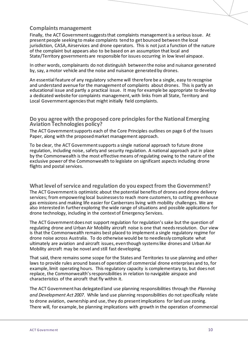#### **Complaints management**

Finally, the ACT Government suggests that complaints management is a serious issue. At present people seeking to make complaints tend to get bounced between the local jurisdiction, CASA, Airservices and drone operators. This is not just a function of the nature of the complaint but appears also to be based on an assumption that local and State/Territory governments are responsible for issues occurring in low level airspace.

In other words, complainants do not distinguish between the noise and nuisance generated by, say, a motor vehicle and the noise and nuisance generated by drones.

An essential feature of any regulatory scheme will therefore be a single, easy to recognise and understand avenue for the management of complaints about drones. This is partly an educational issue and partly a practical issue. It may for example be appropriate to develop a dedicated website for complaints management, with links from all State, Territory and Local Government agencies that might initially field complaints.

#### **Do you agree with the proposed core principles for the National Emerging Aviation Technologies policy?**

The ACT Government supports each of the Core Principles outlines on page 6 of the Issues Paper, along with the proposed market management approach.

To be clear, the ACT Government supports a single national approach to future drone regulation, including noise, safety and security regulation. A national approach put in place by the Commonwealth is the most effective means of regulating owing to the nature of the exclusive power of the Commonwealth to legislate on significant aspects including drone flights and postal services.

**What level of service and regulation do you expect from the Government?** The ACT Government is optimistic about the potential benefits of drones and drone delivery services; from empowering local businesses to reach more customers, to cutting greenhouse gas emissions and making life easier for Canberrans living with mobility challenges. We are also interested in further exploring the wide range of situations and possible applications for drone technology, including in the context of Emergency Services.

The ACT Government does not support regulation for regulation's sake but the question of regulating drone and Urban Air Mobility aircraft noise is one that needs resolution. Our view is that the Commonwealth remains best placed to implement a single regulatory regime for drone noise across Australia. To do otherwise would be to needlessly complicate what ultimately are aviation and aircraft issues, even though systems like drones and Urban Air Mobility aircraft may be novel and still fast developing.

That said, there remains some scope for the States and Territories to use planning and other laws to provide rules around bases of operation of commercial drone enterprises and to, for example, limit operating hours. This regulatory capacity is complementary to, but does not replace, the Commonwealth's responsibilities in relation to navigable airspace and characteristics of the aircraft that fly within it.

The ACT Government has delegated land use planning responsibilities through the *Planning and Development Act 2007*. While land use planning responsibilities do not specifically relate to drone aviation, ownership and use, they do present implications for land use zoning. There will, for example, be planning implications with growth in the operation of commercial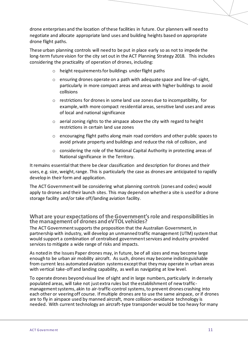drone enterprises and the location of these facilities in future. Our planners will need to negotiate and allocate appropriate land uses and building heights based on appropriate drone flight paths.

These urban planning controls will need to be put in place early so as not to impede the long-term future vision for the city set out in the ACT Planning Strategy 2018. This includes considering the practicality of operation of drones, including:

- o height requirements for buildings under flight paths
- o ensuring drones operate on a path with adequate space and line-of-sight, particularly in more compact areas and areas with higher buildings to avoid collisions
- o restrictions for drones in some land use zones due to incompatibility, for example, with more compact residential areas, sensitive land uses and areas of local and national significance
- o aerial zoning rights to the airspace above the city with regard to height restrictions in certain land use zones
- $\circ$  encouraging flight paths along main road corridors and other public spaces to avoid private property and buildings and reduce the risk of collision, and
- $\circ$  considering the role of the National Capital Authority in protecting areas of National significance in the Territory.

It remains essential that there be clear classification and description for drones and their uses, e.g. size, weight, range. This is particularly the case as drones are anticipated to rapidly develop in their form and application.

The ACT Government will be considering what planning controls (zones and codes) would apply to drones and their launch sites. This may depend on whether a site is used for a drone storage facility and/or take off/landing aviation facility.

#### **What are your expectations of the Government's role and responsibilities in the management of drones and eVTOL vehicles?**

The ACT Government supports the proposition that the Australian Government, in partnership with industry, will develop an unmanned traffic management (UTM) system that would support a combination of centralised government services and industry-provided services to mitigate a wide range of risks and impacts.

As noted in the Issues Paper drones may, in future, be of all sizes and may become large enough to be urban air mobility aircraft. As such, drones may become indistinguishable from current less automated aviation systems except that they may operate in urban areas with vertical take-off and landing capability, as well as navigating at low level.

To operate drones beyond visual line of sight and in large numbers, particularly in densely populated areas, will take not just extra rules but the establishment of new trafficmanagement systems, akin to air-traffic-control systems, to prevent drones crashing into each other or veering off course. If multiple drones are to use the same airspace, or if drones are to fly in airspace used by manned aircraft, more collision-avoidance technology is needed. With current technology an aircraft-type transponder would be too heavy for many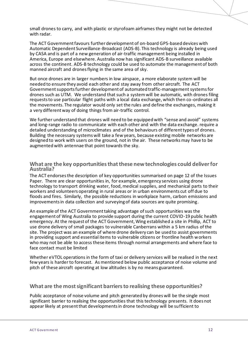small drones to carry, and with plastic or styrofoam airframes they might not be detected with radar.

The ACT Government favours furtherdevelopment of on-board GPS-based devices with Automatic Dependent Surveillance-Broadcast (ADS-B). This technology is already being used by CASA and is part of a new generation of air-traffic management being installed in America, Europe and elsewhere. Australia now has significant ADS-B surveillance available across the continent. ADS-B technology could be used to automate the management of both manned aircraft and drones flying in the same area of sky.

But once drones are in larger numbers in low airspace, a more elaborate system will be needed to ensure they avoid each other and stay away from other aircraft. The ACT Government supports further development of automated traffic-management systemsfor drones such as UTM. We understand that such a system will be automatic, with drones filing requests to use particular flight paths with a local data exchange, which then co-ordinates all the movements. The regulator would only set the rules and define the exchanges, making it a very different way of doing things from air-traffic control.

We further understand that drones will need to be equipped with "sense and avoid" systems and long-range radio to communicate with each other and with the data exchange. require a detailed understanding of microclimates and of the behaviours of different types of drones. Building the necessary systems will take a few years, because existing mobile networks are designed to work with users on the ground, not in the air. These networks may have to be augmented with antennae that point towards the sky.

#### **What are the key opportunities that these new technologies could deliver for Australia?**

The ACT endorses the description of key opportunities summarised on page 12 of the Issues Paper. There are clear opportunities in, for example, emergency services using drone technology to transport drinking water, food, medical supplies, and mechanical parts to their workers and volunteers operating in rural areas or in urban environments cut off due to floods and fires. Similarly, the possible reductions in workplace harm, carbon emissions and improvements in data collection and surveying of data sources are quite promising.

An example of the ACT Government taking advantage of such opportunities was the engagement of Wing Australia to provide support during the current COVID-19 public health emergency. At the request of the ACT Government, Wing established a site in Phillip, ACT to use drone delivery of small packages to vulnerable Canberrans within a 5 km radius of the site. The project was an example of where drone delivery can be used to assist governments in providing support and essential items to vulnerable citizens or frontline health workers who may not be able to access these items through normal arrangements and where face to face contact must be limited

Whether eVTOL operations in the form of taxi or delivery services will be realised in the next few years is harder to forecast. As mentioned below public acceptance of noise volume and pitch of these aircraft operating at low altitudes is by no means guaranteed.

#### **What are the most significant barriers to realising these opportunities?**

Public acceptance of noise volume and pitch generated by drones will be the single most significant barrier to realising the opportunities that this technology presents. It does not appear likely at present that developments in drone technology will be sufficient to